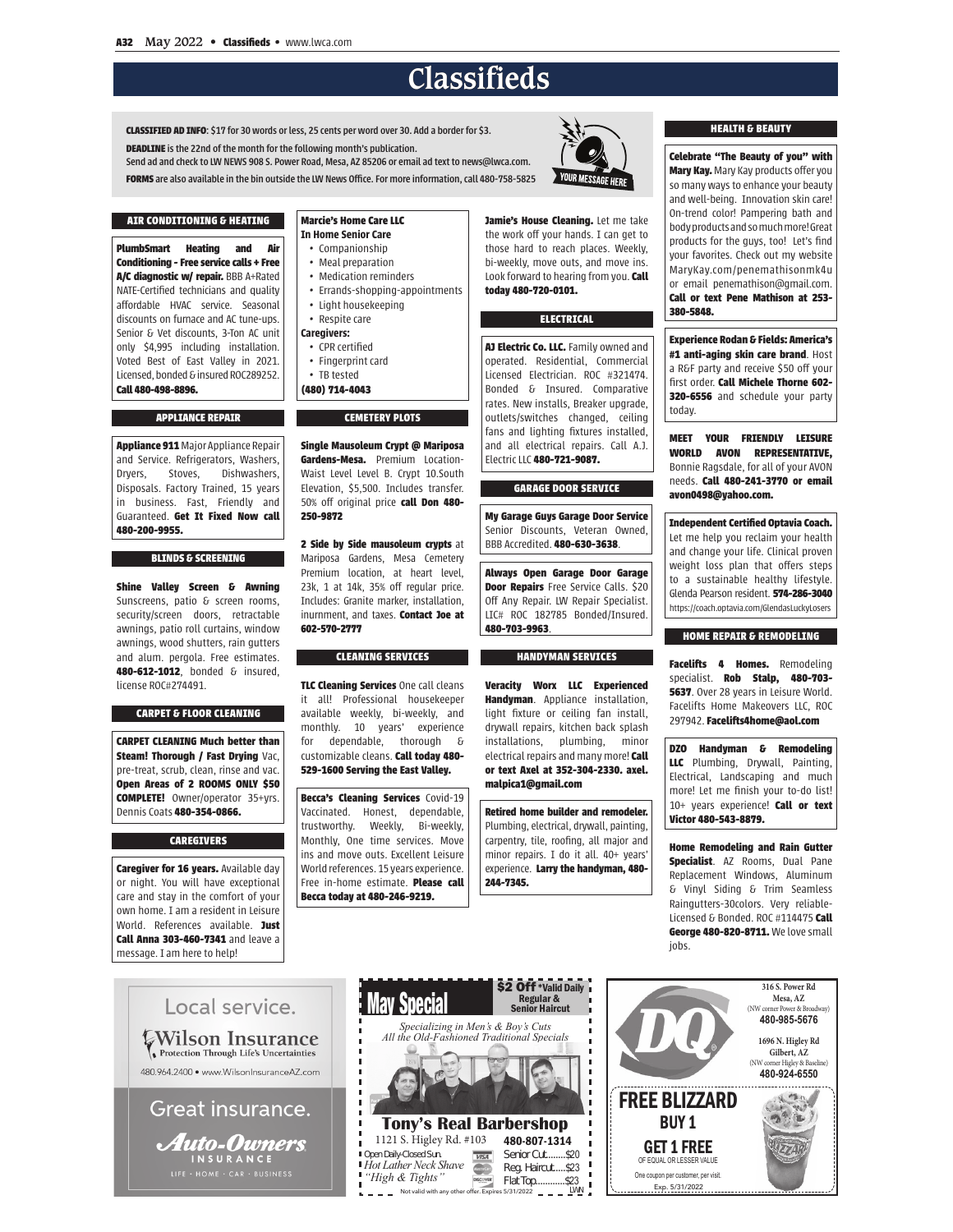# **Classifieds**

CLASSIFIED AD INFO: \$17 for 30 words or less, 25 cents per word over 30. Add a border for \$3. **DEADLINE** is the 22nd of the month for the following month's publication. Send ad and check to LW NEWS 908 S. Power Road, Mesa, AZ 85206 or email ad text to news@lwca.com.

FORMS are also available in the bin outside the LW News Office. For more information, call 480-758-5825

# AIR CONDITIONING & HEATING **PlumhSmart Heating and Air**

Conditioning - Free service calls + Free

A/C diagnostic w/ repair. BBB A+Rated

NATE-Certified technicians and quality

affordable HVAC service. Seasonal

discounts on furnace and AC tune-ups.

Senior & Vet discounts, 3-Ton AC unit

only \$4,995 including installation.

Voted Best of East Valley in 2021.

Licensed bonded & insured ROC289252

**APPLIANCE REPAIR** 

Appliance 911 Major Appliance Repair

and Service. Refrigerators, Washers,

Dryers, Stoves, Dishwashers,

Disposals. Factory Trained, 15 years

in business. Fast, Friendly and

Guaranteed. Get It Fixed Now call

**BLINDS & SCREENING** 

Shine Valley Screen & Awning

Sunscreens, patio & screen rooms,

security/screen doors, retractable

awnings, patio roll curtains, window

awnings, wood shutters, rain gutters

and alum. pergola. Free estimates.

480-612-1012. bonded & insured.

**CARPET & FLOOR CLEANING** 

**CARPET CLEANING Much better than** 

Steam! Thorough / Fast Drying Vac.

pre-treat, scrub, clean, rinse and vac.

Open Areas of 2 ROOMS ONLY \$50

**COMPLETE!** Owner/operator 35+yrs.

**CAREGIVERS** 

**Caregiver for 16 years.** Available day

or night. You will have exceptional

care and stay in the comfort of your

own home. I am a resident in Leisure

World. References available. Just

Call Anna 303-460-7341 and leave a

message. I am here to help!

Dennis Coats 480-354-0866.

license ROC#274491.

Call 480-498-8896.

480-200-9955.

Marcio's Home Care LLC **In Home Senior Care** · Companionship

- Meal preparation
- Medication reminders
- Errands-shopping-appointments
- Light housekeeping
- Respite care
- Caregivers:
- CPR certified
- Fingerprint card
- $\cdot$  TB tested
- (480) 714-4043

#### **CEMETERY PLOTS**

Single Mausoleum Crypt @ Mariposa Gardens-Mesa. Premium Location-Waist Level Level B. Crypt 10.South Elevation, \$5,500. Includes transfer. 50% off original price call Don 480-250-9872

2 Side by Side mausoleum crypts at Mariposa Gardens, Mesa Cemetery Premium location at heart level 23k, 1 at 14k, 35% off regular price. Includes: Granite marker, installation, inumment and taxes Contact Joe at 602-570-2777

### **CLEANING SERVICES**

TLC Cleaning Services One call cleans it all! Professional housekeener available weekly, bi-weekly, and monthly. 10 years' experience dependable, thorough &  $for$ customizable cleans. Call today 480-529-1600 Serving the East Valley.

**Becca's Cleaning Services Covid-19** Vaccinated. Honest, dependable, trustworthy. Weekly, Bi-weekly, Monthly, One time services. Move ins and move outs. Excellent Leisure World references, 15 years experience. Free in-home estimate. Please call Becca today at 480-246-9219.

Jamie's House Cleaning. Let me take the work off your hands. I can get to those hard to reach places. Weekly, bi-weekly, move outs, and move ins. Look forward to hearing from you. Call today 480-720-0101.

#### **ELECTRICAL**

Al Electric Co. LLC. Family owned and operated. Residential, Commercial Licensed Electrician, ROC #321474. Bonded & Insured. Comparative rates. New installs, Breaker upgrade, outlets/switches changed, ceiling fans and lighting fixtures installed, and all electrical repairs. Call A.J. Electric LLC 480-721-9087.

#### **GARAGE DOOR SERVICE**

My Garage Guys Garage Door Service Senior Discounts, Veteran Owned, BBB Accredited. 480-630-3638.

Always Open Garage Door Garage Door Repairs Free Service Calls. \$20 Off Any Repair. LW Repair Specialist. LIC# ROC 182785 Bonded/Insured. 480-703-9963

### **HANDYMAN SERVICES**

**Veracity Worx LLC Experienced** Handyman Appliance installation light fixture or ceiling fan install, drywall repairs, kitchen back splash installations, plumbing, minor electrical repairs and many more! Call or text Axel at 352-304-2330, axel. malpica1@gmail.com

Retired home builder and remodeler. Plumbing, electrical, drywall, painting. carpentry, tile, roofing, all major and minor repairs. I do it all. 40+ years' experience. Larry the handyman, 480-244-7345.

#### **HEALTH & BEAUTY**

Celebrate "The Beauty of you" with Mary Kay. Mary Kay products offer you so many ways to enhance your beauty and well-being. Innovation skin care! On-trend color! Pampering bath and body products and so much more! Great products for the guys, too! Let's find your favorites. Check out my website MaryKay.com/penemathisonmk4u or email penemathison@gmail.com. Call or text Pene Mathison at 253-380-5848.

**Experience Rodan & Fields: America's** #1 anti-aging skin care brand. Host a R&F party and receive \$50 off your first order. Call Michele Thorne 602-320-6556 and schedule your party today.

**MEET YOUR FRIENDLY LEISURE WORLD AVON REPRESENTATIVE,** Bonnie Ragsdale, for all of your AVON needs. Call 480-241-3770 or email avon0498@yahoo.com.

Independent Certified Optavia Coach. Let me help you reclaim your health and change your life. Clinical proven weight loss plan that offers steps to a sustainable healthy lifestyle. Glenda Pearson resident 574-286-3040 https://coach.optavia.com/GlendasLuckyLosers

#### **HOME REPAIR & REMODELING**

Facelifts 4 Homes. Remodeling specialist. Rob Stalp, 480-703-5637. Over 28 years in Leisure World. Facelifts Home Makeovers LLC, ROC 297942. Facelifts4home@aol.com

DZO Handyman & Remodeling LLC Plumbing, Drywall, Painting, Electrical, Landscaping and much more! Let me finish your to-do list! 10+ years experience! Call or text Victor 480-543-8879.

Home Remodeling and Rain Gutter Specialist. AZ Rooms, Dual Pane Replacement Windows, Aluminum & Vinyl Siding & Trim Seamless Raingutters-30colors. Very reliable-Licensed & Bonded, ROC #114475 Call George 480-820-8711. We love small iobs.